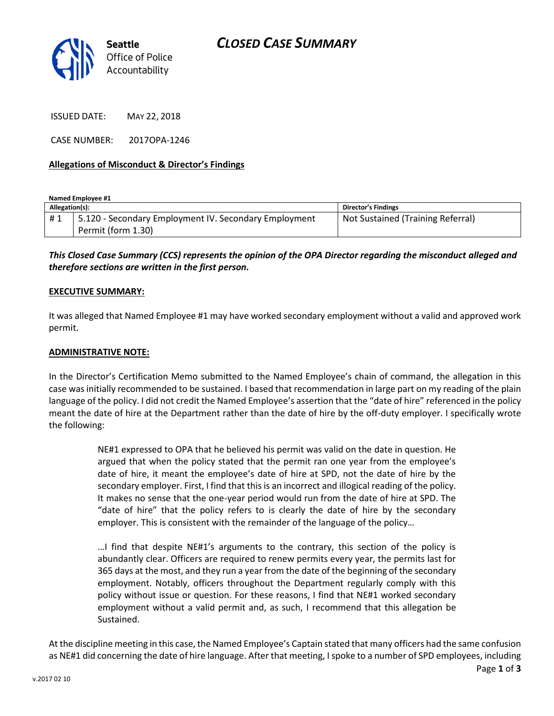

ISSUED DATE: MAY 22, 2018

CASE NUMBER: 2017OPA-1246

### **Allegations of Misconduct & Director's Findings**

**Named Employee #1 Allegation(s): Director's Findings** #1 | 5.120 - Secondary Employment IV. Secondary Employment Permit (form 1.30) Not Sustained (Training Referral)

*This Closed Case Summary (CCS) represents the opinion of the OPA Director regarding the misconduct alleged and therefore sections are written in the first person.* 

### **EXECUTIVE SUMMARY:**

It was alleged that Named Employee #1 may have worked secondary employment without a valid and approved work permit.

#### **ADMINISTRATIVE NOTE:**

In the Director's Certification Memo submitted to the Named Employee's chain of command, the allegation in this case was initially recommended to be sustained. I based that recommendation in large part on my reading of the plain language of the policy. I did not credit the Named Employee's assertion that the "date of hire" referenced in the policy meant the date of hire at the Department rather than the date of hire by the off-duty employer. I specifically wrote the following:

> NE#1 expressed to OPA that he believed his permit was valid on the date in question. He argued that when the policy stated that the permit ran one year from the employee's date of hire, it meant the employee's date of hire at SPD, not the date of hire by the secondary employer. First, I find that this is an incorrect and illogical reading of the policy. It makes no sense that the one-year period would run from the date of hire at SPD. The "date of hire" that the policy refers to is clearly the date of hire by the secondary employer. This is consistent with the remainder of the language of the policy…

> …I find that despite NE#1's arguments to the contrary, this section of the policy is abundantly clear. Officers are required to renew permits every year, the permits last for 365 days at the most, and they run a year from the date of the beginning of the secondary employment. Notably, officers throughout the Department regularly comply with this policy without issue or question. For these reasons, I find that NE#1 worked secondary employment without a valid permit and, as such, I recommend that this allegation be Sustained.

At the discipline meeting in this case, the Named Employee's Captain stated that many officers had the same confusion as NE#1 did concerning the date of hire language. After that meeting, I spoke to a number of SPD employees, including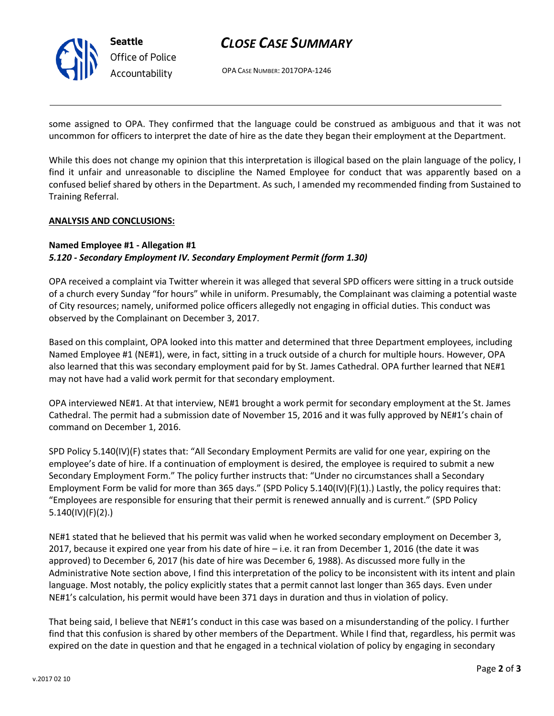

## *CLOSE CASE SUMMARY*

OPA CASE NUMBER: 2017OPA-1246

some assigned to OPA. They confirmed that the language could be construed as ambiguous and that it was not uncommon for officers to interpret the date of hire as the date they began their employment at the Department.

While this does not change my opinion that this interpretation is illogical based on the plain language of the policy, I find it unfair and unreasonable to discipline the Named Employee for conduct that was apparently based on a confused belief shared by others in the Department. As such, I amended my recommended finding from Sustained to Training Referral.

## **ANALYSIS AND CONCLUSIONS:**

## **Named Employee #1 - Allegation #1** *5.120 - Secondary Employment IV. Secondary Employment Permit (form 1.30)*

OPA received a complaint via Twitter wherein it was alleged that several SPD officers were sitting in a truck outside of a church every Sunday "for hours" while in uniform. Presumably, the Complainant was claiming a potential waste of City resources; namely, uniformed police officers allegedly not engaging in official duties. This conduct was observed by the Complainant on December 3, 2017.

Based on this complaint, OPA looked into this matter and determined that three Department employees, including Named Employee #1 (NE#1), were, in fact, sitting in a truck outside of a church for multiple hours. However, OPA also learned that this was secondary employment paid for by St. James Cathedral. OPA further learned that NE#1 may not have had a valid work permit for that secondary employment.

OPA interviewed NE#1. At that interview, NE#1 brought a work permit for secondary employment at the St. James Cathedral. The permit had a submission date of November 15, 2016 and it was fully approved by NE#1's chain of command on December 1, 2016.

SPD Policy 5.140(IV)(F) states that: "All Secondary Employment Permits are valid for one year, expiring on the employee's date of hire. If a continuation of employment is desired, the employee is required to submit a new Secondary Employment Form." The policy further instructs that: "Under no circumstances shall a Secondary Employment Form be valid for more than 365 days." (SPD Policy 5.140(IV)(F)(1).) Lastly, the policy requires that: "Employees are responsible for ensuring that their permit is renewed annually and is current." (SPD Policy 5.140(IV)(F)(2).)

NE#1 stated that he believed that his permit was valid when he worked secondary employment on December 3, 2017, because it expired one year from his date of hire – i.e. it ran from December 1, 2016 (the date it was approved) to December 6, 2017 (his date of hire was December 6, 1988). As discussed more fully in the Administrative Note section above, I find this interpretation of the policy to be inconsistent with its intent and plain language. Most notably, the policy explicitly states that a permit cannot last longer than 365 days. Even under NE#1's calculation, his permit would have been 371 days in duration and thus in violation of policy.

That being said, I believe that NE#1's conduct in this case was based on a misunderstanding of the policy. I further find that this confusion is shared by other members of the Department. While I find that, regardless, his permit was expired on the date in question and that he engaged in a technical violation of policy by engaging in secondary